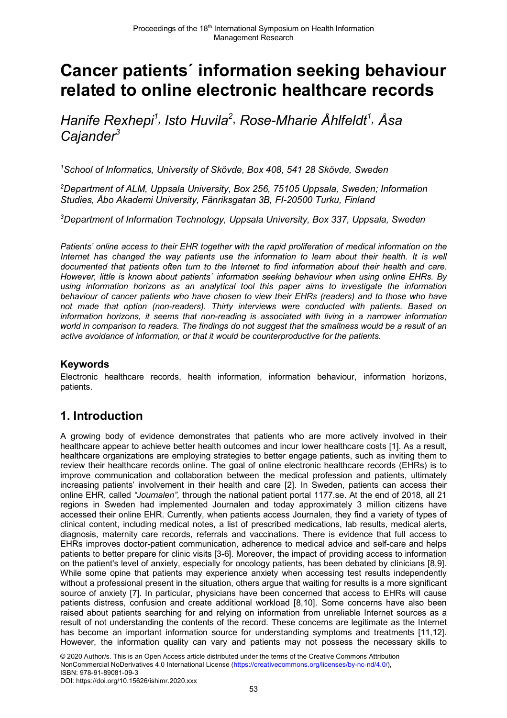# **Cancer patients´ information seeking behaviour related to online electronic healthcare records**

*Hanife Rexhepi1 , Isto Huvila2* , *Rose-Mharie Åhlfeldt1 , Åsa Cajander3*

*1 School of Informatics, University of Skövde, Box 408, 541 28 Skövde, Sweden*

*2 Department of ALM, Uppsala University, Box 256, 75105 Uppsala, Sweden; Information Studies, Åbo Akademi University, Fänriksgatan 3B, FI-20500 Turku, Finland*

*3 Department of Information Technology, Uppsala University, Box 337, Uppsala, Sweden*

*Patients' online access to their EHR together with the rapid proliferation of medical information on the Internet has changed the way patients use the information to learn about their health. It is well documented that patients often turn to the Internet to find information about their health and care. However, little is known about patients´ information seeking behaviour when using online EHRs. By using information horizons as an analytical tool this paper aims to investigate the information behaviour of cancer patients who have chosen to view their EHRs (readers) and to those who have not made that option (non-readers). Thirty interviews were conducted with patients. Based on information horizons, it seems that non-reading is associated with living in a narrower information world in comparison to readers. The findings do not suggest that the smallness would be a result of an active avoidance of information, or that it would be counterproductive for the patients.*

#### **Keywords**

Electronic healthcare records, health information, information behaviour, information horizons, patients.

### **1. Introduction**

A growing body of evidence demonstrates that patients who are more actively involved in their healthcare appear to achieve better health outcomes and incur lower healthcare costs [1]. As a result, healthcare organizations are employing strategies to better engage patients, such as inviting them to review their healthcare records online. The goal of online electronic healthcare records (EHRs) is to improve communication and collaboration between the medical profession and patients, ultimately increasing patients' involvement in their health and care [2]. In Sweden, patients can access their online EHR, called *"Journalen",* through the national patient portal 1177.se. At the end of 2018, all 21 regions in Sweden had implemented Journalen and today approximately 3 million citizens have accessed their online EHR. Currently, when patients access Journalen, they find a variety of types of clinical content, including medical notes, a list of prescribed medications, lab results, medical alerts, diagnosis, maternity care records, referrals and vaccinations. There is evidence that full access to EHRs improves doctor-patient communication, adherence to medical advice and self-care and helps patients to better prepare for clinic visits [3-6]. Moreover, the impact of providing access to information on the patient's level of anxiety, especially for oncology patients, has been debated by clinicians [8,9]. While some opine that patients may experience anxiety when accessing test results independently without a professional present in the situation, others argue that waiting for results is a more significant source of anxiety [7]. In particular, physicians have been concerned that access to EHRs will cause patients distress, confusion and create additional workload [8,10]. Some concerns have also been raised about patients searching for and relying on information from unreliable Internet sources as a result of not understanding the contents of the record. These concerns are legitimate as the Internet has become an important information source for understanding symptoms and treatments [11,12]. However, the information quality can vary and patients may not possess the necessary skills to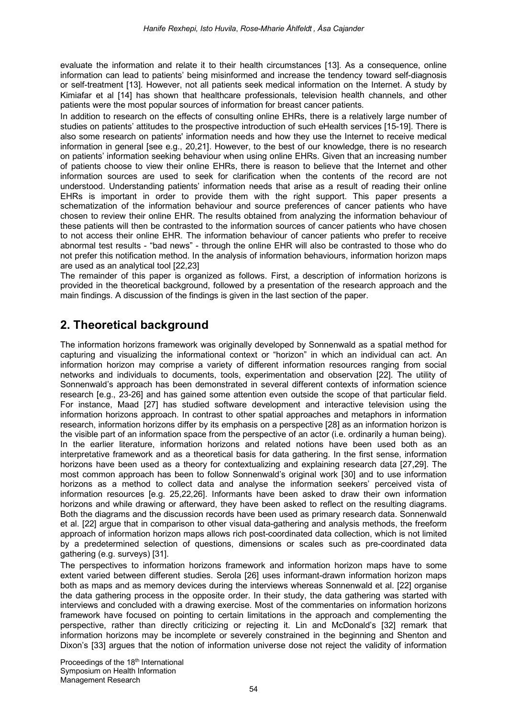evaluate the information and relate it to their health circumstances [13]. As a consequence, online information can lead to patients' being misinformed and increase the tendency toward self-diagnosis or self-treatment [13]. However, not all patients seek medical information on the Internet. A study by Kimiafar et al [14] has shown that healthcare professionals, television health channels, and other patients were the most popular sources of information for breast cancer patients.

In addition to research on the effects of consulting online EHRs, there is a relatively large number of studies on patients' attitudes to the prospective introduction of such eHealth services [15-19]. There is also some research on patients' information needs and how they use the Internet to receive medical information in general [see e.g., 20,21]. However, to the best of our knowledge, there is no research on patients' information seeking behaviour when using online EHRs. Given that an increasing number of patients choose to view their online EHRs, there is reason to believe that the Internet and other information sources are used to seek for clarification when the contents of the record are not understood. Understanding patients' information needs that arise as a result of reading their online EHRs is important in order to provide them with the right support. This paper presents a schematization of the information behaviour and source preferences of cancer patients who have chosen to review their online EHR. The results obtained from analyzing the information behaviour of these patients will then be contrasted to the information sources of cancer patients who have chosen to not access their online EHR. The information behaviour of cancer patients who prefer to receive abnormal test results - "bad news" - through the online EHR will also be contrasted to those who do not prefer this notification method. In the analysis of information behaviours, information horizon maps are used as an analytical tool [22,23]

The remainder of this paper is organized as follows. First, a description of information horizons is provided in the theoretical background, followed by a presentation of the research approach and the main findings. A discussion of the findings is given in the last section of the paper.

## **2. Theoretical background**

The information horizons framework was originally developed by Sonnenwald as a spatial method for capturing and visualizing the informational context or "horizon" in which an individual can act. An information horizon may comprise a variety of different information resources ranging from social networks and individuals to documents, tools, experimentation and observation [22]. The utility of Sonnenwald's approach has been demonstrated in several different contexts of information science research [e.g., 23-26] and has gained some attention even outside the scope of that particular field. For instance, Maad [27] has studied software development and interactive television using the information horizons approach. In contrast to other spatial approaches and metaphors in information research, information horizons differ by its emphasis on a perspective [28] as an information horizon is the visible part of an information space from the perspective of an actor (i.e. ordinarily a human being). In the earlier literature, information horizons and related notions have been used both as an interpretative framework and as a theoretical basis for data gathering. In the first sense, information horizons have been used as a theory for contextualizing and explaining research data [27,29]. The most common approach has been to follow Sonnenwald's original work [30] and to use information horizons as a method to collect data and analyse the information seekers' perceived vista of information resources [e.g. 25,22,26]. Informants have been asked to draw their own information horizons and while drawing or afterward, they have been asked to reflect on the resulting diagrams. Both the diagrams and the discussion records have been used as primary research data. Sonnenwald et al. [22] argue that in comparison to other visual data-gathering and analysis methods, the freeform approach of information horizon maps allows rich post-coordinated data collection, which is not limited by a predetermined selection of questions, dimensions or scales such as pre-coordinated data gathering (e.g. surveys) [31].

The perspectives to information horizons framework and information horizon maps have to some extent varied between different studies. Serola [26] uses informant-drawn information horizon maps both as maps and as memory devices during the interviews whereas Sonnenwald et al. [22] organise the data gathering process in the opposite order. In their study, the data gathering was started with interviews and concluded with a drawing exercise. Most of the commentaries on information horizons framework have focused on pointing to certain limitations in the approach and complementing the perspective, rather than directly criticizing or rejecting it. Lin and McDonald's [32] remark that information horizons may be incomplete or severely constrained in the beginning and Shenton and Dixon's [33] argues that the notion of information universe dose not reject the validity of information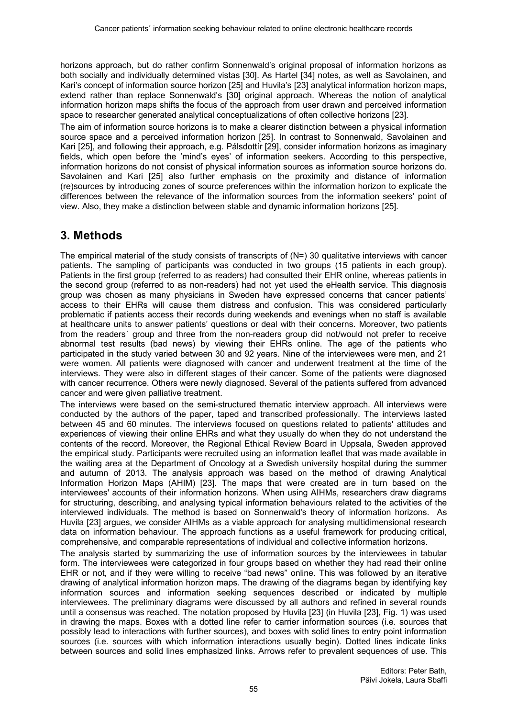horizons approach, but do rather confirm Sonnenwald's original proposal of information horizons as both socially and individually determined vistas [30]. As Hartel [34] notes, as well as Savolainen, and Kari's concept of information source horizon [25] and Huvila's [23] analytical information horizon maps, extend rather than replace Sonnenwald's [30] original approach. Whereas the notion of analytical information horizon maps shifts the focus of the approach from user drawn and perceived information space to researcher generated analytical conceptualizations of often collective horizons [23].

The aim of information source horizons is to make a clearer distinction between a physical information source space and a perceived information horizon [25]. In contrast to Sonnenwald, Savolainen and Kari [25], and following their approach, e.g. Pálsdottír [29], consider information horizons as imaginary fields, which open before the 'mind's eyes' of information seekers. According to this perspective, information horizons do not consist of physical information sources as information source horizons do. Savolainen and Kari [25] also further emphasis on the proximity and distance of information (re)sources by introducing zones of source preferences within the information horizon to explicate the differences between the relevance of the information sources from the information seekers' point of view. Also, they make a distinction between stable and dynamic information horizons [25].

#### **3. Methods**

The empirical material of the study consists of transcripts of (N=) 30 qualitative interviews with cancer patients. The sampling of participants was conducted in two groups (15 patients in each group). Patients in the first group (referred to as readers) had consulted their EHR online, whereas patients in the second group (referred to as non-readers) had not yet used the eHealth service. This diagnosis group was chosen as many physicians in Sweden have expressed concerns that cancer patients' access to their EHRs will cause them distress and confusion. This was considered particularly problematic if patients access their records during weekends and evenings when no staff is available at healthcare units to answer patients' questions or deal with their concerns. Moreover, two patients from the readers´ group and three from the non-readers group did not/would not prefer to receive abnormal test results (bad news) by viewing their EHRs online. The age of the patients who participated in the study varied between 30 and 92 years. Nine of the interviewees were men, and 21 were women. All patients were diagnosed with cancer and underwent treatment at the time of the interviews. They were also in different stages of their cancer. Some of the patients were diagnosed with cancer recurrence. Others were newly diagnosed. Several of the patients suffered from advanced cancer and were given palliative treatment.

The interviews were based on the semi-structured thematic interview approach. All interviews were conducted by the authors of the paper, taped and transcribed professionally. The interviews lasted between 45 and 60 minutes. The interviews focused on questions related to patients' attitudes and experiences of viewing their online EHRs and what they usually do when they do not understand the contents of the record. Moreover, the Regional Ethical Review Board in Uppsala, Sweden approved the empirical study. Participants were recruited using an information leaflet that was made available in the waiting area at the Department of Oncology at a Swedish university hospital during the summer and autumn of 2013. The analysis approach was based on the method of drawing Analytical Information Horizon Maps (AHIM) [23]. The maps that were created are in turn based on the interviewees' accounts of their information horizons. When using AIHMs, researchers draw diagrams for structuring, describing, and analysing typical information behaviours related to the activities of the interviewed individuals. The method is based on Sonnenwald's theory of information horizons. As Huvila [23] argues, we consider AIHMs as a viable approach for analysing multidimensional research data on information behaviour. The approach functions as a useful framework for producing critical, comprehensive, and comparable representations of individual and collective information horizons.

The analysis started by summarizing the use of information sources by the interviewees in tabular form. The interviewees were categorized in four groups based on whether they had read their online EHR or not, and if they were willing to receive "bad news" online. This was followed by an iterative drawing of analytical information horizon maps. The drawing of the diagrams began by identifying key information sources and information seeking sequences described or indicated by multiple interviewees. The preliminary diagrams were discussed by all authors and refined in several rounds until a consensus was reached. The notation proposed by Huvila [23] (in Huvila [23], Fig. 1) was used in drawing the maps. Boxes with a dotted line refer to carrier information sources (i.e. sources that possibly lead to interactions with further sources), and boxes with solid lines to entry point information sources (i.e. sources with which information interactions usually begin). Dotted lines indicate links between sources and solid lines emphasized links. Arrows refer to prevalent sequences of use. This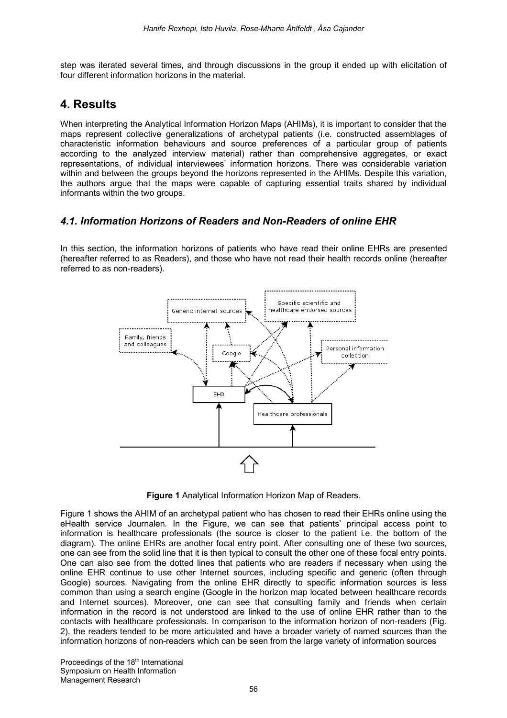step was iterated several times, and through discussions in the group it ended up with elicitation of four different information horizons in the material.

## **4. Results**

When interpreting the Analytical Information Horizon Maps (AHIMs), it is important to consider that the maps represent collective generalizations of archetypal patients (i.e. constructed assemblages of characteristic information behaviours and source preferences of a particular group of patients according to the analyzed interview material) rather than comprehensive aggregates, or exact representations, of individual interviewees' information horizons. There was considerable variation within and between the groups beyond the horizons represented in the AHIMs. Despite this variation, the authors argue that the maps were capable of capturing essential traits shared by individual informants within the two groups.

#### *4.1. Information Horizons of Readers and Non-Readers of online EHR*

In this section, the information horizons of patients who have read their online EHRs are presented (hereafter referred to as Readers), and those who have not read their health records online (hereafter referred to as non-readers).



**Figure 1** Analytical Information Horizon Map of Readers.

Figure 1 shows the AHIM of an archetypal patient who has chosen to read their EHRs online using the eHealth service Journalen. In the Figure, we can see that patients' principal access point to information is healthcare professionals (the source is closer to the patient i.e. the bottom of the diagram). The online EHRs are another focal entry point. After consulting one of these two sources, one can see from the solid line that it is then typical to consult the other one of these focal entry points. One can also see from the dotted lines that patients who are readers if necessary when using the online EHR continue to use other Internet sources, including specific and generic (often through Google) sources. Navigating from the online EHR directly to specific information sources is less common than using a search engine (Google in the horizon map located between healthcare records and Internet sources). Moreover, one can see that consulting family and friends when certain information in the record is not understood are linked to the use of online EHR rather than to the contacts with healthcare professionals. In comparison to the information horizon of non-readers (Fig. 2), the readers tended to be more articulated and have a broader variety of named sources than the information horizons of non-readers which can be seen from the large variety of information sources

Proceedings of the 18<sup>th</sup> International Symposium on Health Information Management Research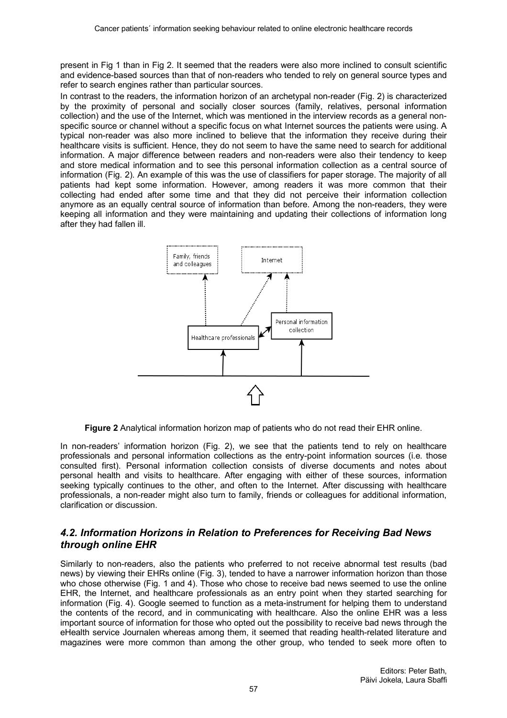present in Fig 1 than in Fig 2. It seemed that the readers were also more inclined to consult scientific and evidence-based sources than that of non-readers who tended to rely on general source types and refer to search engines rather than particular sources.

In contrast to the readers, the information horizon of an archetypal non-reader (Fig. 2) is characterized by the proximity of personal and socially closer sources (family, relatives, personal information collection) and the use of the Internet, which was mentioned in the interview records as a general nonspecific source or channel without a specific focus on what Internet sources the patients were using. A typical non-reader was also more inclined to believe that the information they receive during their healthcare visits is sufficient. Hence, they do not seem to have the same need to search for additional information. A major difference between readers and non-readers were also their tendency to keep and store medical information and to see this personal information collection as a central source of information (Fig. 2). An example of this was the use of classifiers for paper storage. The majority of all patients had kept some information. However, among readers it was more common that their collecting had ended after some time and that they did not perceive their information collection anymore as an equally central source of information than before. Among the non-readers, they were keeping all information and they were maintaining and updating their collections of information long after they had fallen ill.



**Figure 2** Analytical information horizon map of patients who do not read their EHR online.

In non-readers' information horizon (Fig. 2), we see that the patients tend to rely on healthcare professionals and personal information collections as the entry-point information sources (i.e. those consulted first). Personal information collection consists of diverse documents and notes about personal health and visits to healthcare. After engaging with either of these sources, information seeking typically continues to the other, and often to the Internet. After discussing with healthcare professionals, a non-reader might also turn to family, friends or colleagues for additional information, clarification or discussion.

#### *4.2. Information Horizons in Relation to Preferences for Receiving Bad News through online EHR*

Similarly to non-readers, also the patients who preferred to not receive abnormal test results (bad news) by viewing their EHRs online (Fig. 3), tended to have a narrower information horizon than those who chose otherwise (Fig. 1 and 4). Those who chose to receive bad news seemed to use the online EHR, the Internet, and healthcare professionals as an entry point when they started searching for information (Fig. 4). Google seemed to function as a meta-instrument for helping them to understand the contents of the record, and in communicating with healthcare. Also the online EHR was a less important source of information for those who opted out the possibility to receive bad news through the eHealth service Journalen whereas among them, it seemed that reading health-related literature and magazines were more common than among the other group, who tended to seek more often to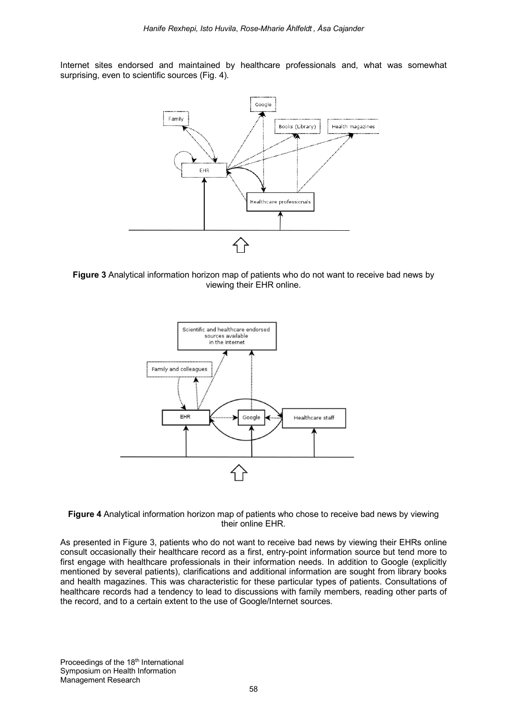Internet sites endorsed and maintained by healthcare professionals and, what was somewhat surprising, even to scientific sources (Fig. 4).



**Figure 3** Analytical information horizon map of patients who do not want to receive bad news by viewing their EHR online.





As presented in Figure 3, patients who do not want to receive bad news by viewing their EHRs online consult occasionally their healthcare record as a first, entry-point information source but tend more to first engage with healthcare professionals in their information needs. In addition to Google (explicitly mentioned by several patients), clarifications and additional information are sought from library books and health magazines. This was characteristic for these particular types of patients. Consultations of healthcare records had a tendency to lead to discussions with family members, reading other parts of the record, and to a certain extent to the use of Google/Internet sources.

Proceedings of the 18<sup>th</sup> International Symposium on Health Information Management Research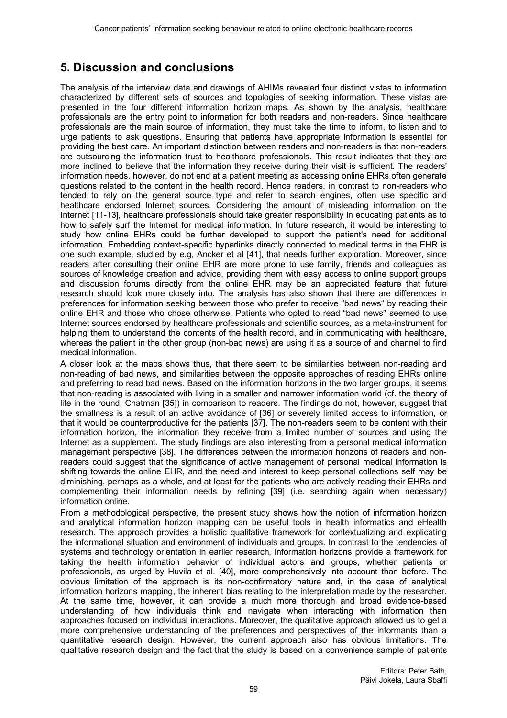## **5. Discussion and conclusions**

The analysis of the interview data and drawings of AHIMs revealed four distinct vistas to information characterized by different sets of sources and topologies of seeking information. These vistas are presented in the four different information horizon maps. As shown by the analysis, healthcare professionals are the entry point to information for both readers and non-readers. Since healthcare professionals are the main source of information, they must take the time to inform, to listen and to urge patients to ask questions. Ensuring that patients have appropriate information is essential for providing the best care. An important distinction between readers and non-readers is that non-readers are outsourcing the information trust to healthcare professionals. This result indicates that they are more inclined to believe that the information they receive during their visit is sufficient. The readers' information needs, however, do not end at a patient meeting as accessing online EHRs often generate questions related to the content in the health record. Hence readers, in contrast to non-readers who tended to rely on the general source type and refer to search engines, often use specific and healthcare endorsed Internet sources. Considering the amount of misleading information on the Internet [11-13], healthcare professionals should take greater responsibility in educating patients as to how to safely surf the Internet for medical information. In future research, it would be interesting to study how online EHRs could be further developed to support the patient's need for additional information. Embedding context-specific hyperlinks directly connected to medical terms in the EHR is one such example, studied by e.g, Ancker et al [41], that needs further exploration. Moreover, since readers after consulting their online EHR are more prone to use family, friends and colleagues as sources of knowledge creation and advice, providing them with easy access to online support groups and discussion forums directly from the online EHR may be an appreciated feature that future research should look more closely into. The analysis has also shown that there are differences in preferences for information seeking between those who prefer to receive "bad news" by reading their online EHR and those who chose otherwise. Patients who opted to read "bad news" seemed to use Internet sources endorsed by healthcare professionals and scientific sources, as a meta-instrument for helping them to understand the contents of the health record, and in communicating with healthcare. whereas the patient in the other group (non-bad news) are using it as a source of and channel to find medical information.

A closer look at the maps shows thus, that there seem to be similarities between non-reading and non-reading of bad news, and similarities between the opposite approaches of reading EHRs online and preferring to read bad news. Based on the information horizons in the two larger groups, it seems that non-reading is associated with living in a smaller and narrower information world (cf. the theory of life in the round, Chatman [35]) in comparison to readers. The findings do not, however, suggest that the smallness is a result of an active avoidance of [36] or severely limited access to information, or that it would be counterproductive for the patients [37]. The non-readers seem to be content with their information horizon, the information they receive from a limited number of sources and using the Internet as a supplement. The study findings are also interesting from a personal medical information management perspective [38]. The differences between the information horizons of readers and nonreaders could suggest that the significance of active management of personal medical information is shifting towards the online EHR, and the need and interest to keep personal collections self may be diminishing, perhaps as a whole, and at least for the patients who are actively reading their EHRs and complementing their information needs by refining [39] (i.e. searching again when necessary) information online.

From a methodological perspective, the present study shows how the notion of information horizon and analytical information horizon mapping can be useful tools in health informatics and eHealth research. The approach provides a holistic qualitative framework for contextualizing and explicating the informational situation and environment of individuals and groups. In contrast to the tendencies of systems and technology orientation in earlier research, information horizons provide a framework for taking the health information behavior of individual actors and groups, whether patients or professionals, as urged by Huvila et al. [40], more comprehensively into account than before. The obvious limitation of the approach is its non-confirmatory nature and, in the case of analytical information horizons mapping, the inherent bias relating to the interpretation made by the researcher. At the same time, however, it can provide a much more thorough and broad evidence-based understanding of how individuals think and navigate when interacting with information than approaches focused on individual interactions. Moreover, the qualitative approach allowed us to get a more comprehensive understanding of the preferences and perspectives of the informants than a quantitative research design. However, the current approach also has obvious limitations. The qualitative research design and the fact that the study is based on a convenience sample of patients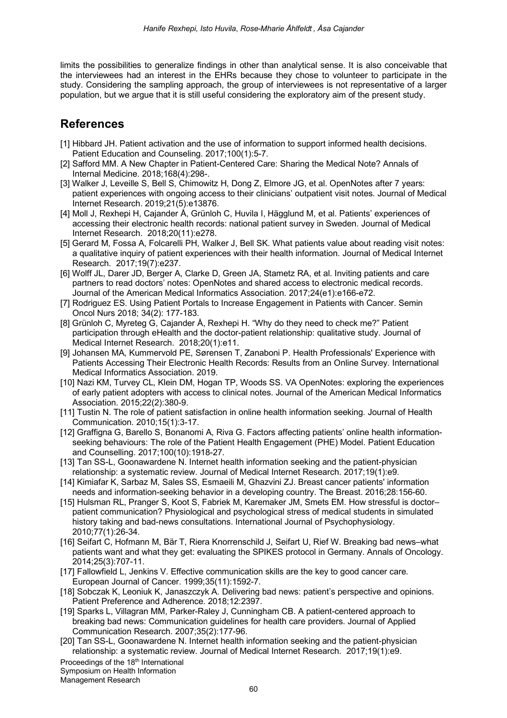limits the possibilities to generalize findings in other than analytical sense. It is also conceivable that the interviewees had an interest in the EHRs because they chose to volunteer to participate in the study. Considering the sampling approach, the group of interviewees is not representative of a larger population, but we argue that it is still useful considering the exploratory aim of the present study.

### **References**

- [1] Hibbard JH. Patient activation and the use of information to support informed health decisions. Patient Education and Counseling. 2017;100(1):5-7.
- [2] Safford MM. A New Chapter in Patient-Centered Care: Sharing the Medical Note? Annals of Internal Medicine. 2018;168(4):298-.
- [3] Walker J, Leveille S, Bell S, Chimowitz H, Dong Z, Elmore JG, et al. OpenNotes after 7 years: patient experiences with ongoing access to their clinicians' outpatient visit notes. Journal of Medical Internet Research. 2019;21(5):e13876.
- [4] Moll J, Rexhepi H, Cajander Å, Grünloh C, Huvila I, Hägglund M, et al. Patients' experiences of accessing their electronic health records: national patient survey in Sweden. Journal of Medical Internet Research. 2018;20(11):e278.
- [5] Gerard M, Fossa A, Folcarelli PH, Walker J, Bell SK. What patients value about reading visit notes: a qualitative inquiry of patient experiences with their health information. Journal of Medical Internet Research. 2017;19(7):e237.
- [6] Wolff JL, Darer JD, Berger A, Clarke D, Green JA, Stametz RA, et al. Inviting patients and care partners to read doctors' notes: OpenNotes and shared access to electronic medical records. Journal of the American Medical Informatics Association. 2017;24(e1):e166-e72.
- [7] Rodriguez ES. Using Patient Portals to Increase Engagement in Patients with Cancer. Semin Oncol Nurs 2018; 34(2): 177-183.
- [8] Grünloh C, Myreteg G, Cajander Å, Rexhepi H. "Why do they need to check me?" Patient participation through eHealth and the doctor-patient relationship: qualitative study. Journal of Medical Internet Research. 2018;20(1):e11.
- [9] Johansen MA, Kummervold PE, Sørensen T, Zanaboni P. Health Professionals' Experience with Patients Accessing Their Electronic Health Records: Results from an Online Survey. International Medical Informatics Association. 2019.
- [10] Nazi KM, Turvey CL, Klein DM, Hogan TP, Woods SS. VA OpenNotes: exploring the experiences of early patient adopters with access to clinical notes. Journal of the American Medical Informatics Association. 2015;22(2):380-9.
- [11] Tustin N. The role of patient satisfaction in online health information seeking. Journal of Health Communication. 2010;15(1):3-17.
- [12] Graffigna G, Barello S, Bonanomi A, Riva G. Factors affecting patients' online health informationseeking behaviours: The role of the Patient Health Engagement (PHE) Model. Patient Education and Counselling. 2017;100(10):1918-27.
- [13] Tan SS-L, Goonawardene N. Internet health information seeking and the patient-physician relationship: a systematic review. Journal of Medical Internet Research. 2017;19(1):e9.
- [14] Kimiafar K, Sarbaz M, Sales SS, Esmaeili M, Ghazvini ZJ. Breast cancer patients' information needs and information-seeking behavior in a developing country. The Breast. 2016;28:156-60.
- [15] Hulsman RL, Pranger S, Koot S, Fabriek M, Karemaker JM, Smets EM. How stressful is doctor– patient communication? Physiological and psychological stress of medical students in simulated history taking and bad-news consultations. International Journal of Psychophysiology. 2010;77(1):26-34.
- [16] Seifart C, Hofmann M, Bär T, Riera Knorrenschild J, Seifart U, Rief W. Breaking bad news–what patients want and what they get: evaluating the SPIKES protocol in Germany. Annals of Oncology. 2014;25(3):707-11.
- [17] Fallowfield L, Jenkins V. Effective communication skills are the key to good cancer care. European Journal of Cancer. 1999;35(11):1592-7.
- [18] Sobczak K, Leoniuk K, Janaszczyk A. Delivering bad news: patient's perspective and opinions. Patient Preference and Adherence. 2018;12:2397.
- [19] Sparks L, Villagran MM, Parker-Raley J, Cunningham CB. A patient-centered approach to breaking bad news: Communication guidelines for health care providers. Journal of Applied Communication Research. 2007;35(2):177-96.
- [20] Tan SS-L, Goonawardene N. Internet health information seeking and the patient-physician relationship: a systematic review. Journal of Medical Internet Research. 2017;19(1):e9.

Proceedings of the 18<sup>th</sup> International

Symposium on Health Information

Management Research